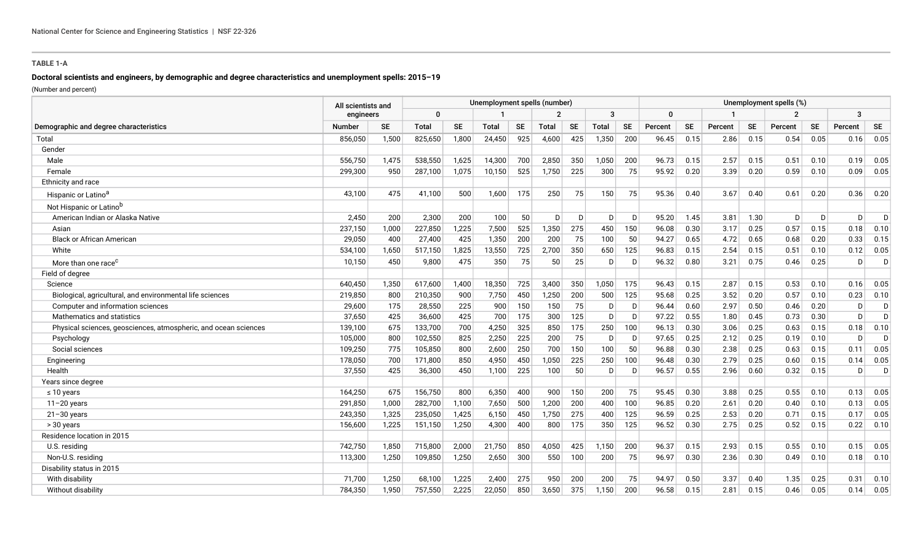## **TABLE 1-A**

# **Doctoral scientists and engineers, by demographic and degree characteristics and unemployment spells: 2015–19**

(Number and percent)

|                                                                 | All scientists and |           | Unemployment spells (number) |           |              |           |       |              |       |           |          | Unemployment spells (%) |         |           |                |           |              |           |  |
|-----------------------------------------------------------------|--------------------|-----------|------------------------------|-----------|--------------|-----------|-------|--------------|-------|-----------|----------|-------------------------|---------|-----------|----------------|-----------|--------------|-----------|--|
| Demographic and degree characteristics                          |                    | engineers |                              | 0         |              |           |       |              | 3     |           | $\Omega$ |                         |         |           | $\overline{2}$ |           | 3            |           |  |
|                                                                 | <b>Number</b>      | SE        | <b>Total</b>                 | <b>SE</b> | <b>Total</b> | <b>SE</b> | Total | <b>SE</b>    | Total | <b>SE</b> | Percent  | <b>SE</b>               | Percent | <b>SE</b> | Percent        | <b>SE</b> | Percent      | <b>SE</b> |  |
| Total                                                           | 856,050            | 1,500     | 825,650                      | 1,800     | 24,450       | 925       | 4,600 | 425          | 1,350 | 200       | 96.45    | 0.15                    | 2.86    | 0.15      | 0.54           | 0.05      | 0.16         | 0.05      |  |
| Gender                                                          |                    |           |                              |           |              |           |       |              |       |           |          |                         |         |           |                |           |              |           |  |
| Male                                                            | 556,750            | 1,475     | 538,550                      | 1,625     | 14,300       | 700       | 2,850 | 350          | 1,050 | 200       | 96.73    | 0.15                    | 2.57    | 0.15      | 0.51           | 0.10      | 0.19         | 0.05      |  |
| Female                                                          | 299,300            | 950       | 287,100                      | 1,075     | 10,150       | 525       | 1,750 | 225          | 300   | 75        | 95.92    | 0.20                    | 3.39    | 0.20      | 0.59           | 0.10      | 0.09         | 0.05      |  |
| Ethnicity and race                                              |                    |           |                              |           |              |           |       |              |       |           |          |                         |         |           |                |           |              |           |  |
| Hispanic or Latino <sup>a</sup>                                 | 43,100             | 475       | 41,100                       | 500       | 1,600        | 175       | 250   | 75           | 150   | 75        | 95.36    | 0.40                    | 3.67    | 0.40      | 0.61           | 0.20      | 0.36         | 0.20      |  |
| Not Hispanic or Latino <sup>b</sup>                             |                    |           |                              |           |              |           |       |              |       |           |          |                         |         |           |                |           |              |           |  |
| American Indian or Alaska Native                                | 2,450              | 200       | 2,300                        | 200       | 100          | 50        | D     | $\mathsf{D}$ | D     | D         | 95.20    | 1.45                    | 3.81    | 1.30      | D              | D         | <sub>D</sub> | D         |  |
| Asian                                                           | 237,150            | 1,000     | 227,850                      | 1,225     | 7,500        | 525       | 1,350 | 275          | 450   | 150       | 96.08    | 0.30                    | 3.17    | 0.25      | 0.57           | 0.15      | 0.18         | 0.10      |  |
| <b>Black or African American</b>                                | 29,050             | 400       | 27,400                       | 425       | 1,350        | 200       | 200   | 75           | 100   | 50        | 94.27    | 0.65                    | 4.72    | 0.65      | 0.68           | 0.20      | 0.33         | 0.15      |  |
| White                                                           | 534,100            | 1,650     | 517,150                      | 1,825     | 13,550       | 725       | 2,700 | 350          | 650   | 125       | 96.83    | 0.15                    | 2.54    | 0.15      | 0.51           | 0.10      | 0.12         | 0.05      |  |
| More than one race <sup>c</sup>                                 | 10,150             | 450       | 9,800                        | 475       | 350          | 75        | 50    | 25           | D     | D         | 96.32    | 0.80                    | 3.21    | 0.75      | 0.46           | 0.25      | D            | D         |  |
| Field of degree                                                 |                    |           |                              |           |              |           |       |              |       |           |          |                         |         |           |                |           |              |           |  |
| Science                                                         | 640,450            | 1,350     | 617,600                      | 1,400     | 18,350       | 725       | 3,400 | 350          | 1,050 | 175       | 96.43    | 0.15                    | 2.87    | 0.15      | 0.53           | 0.10      | 0.16         | 0.05      |  |
| Biological, agricultural, and environmental life sciences       | 219,850            | 800       | 210,350                      | 900       | 7,750        | 450       | 1,250 | 200          | 500   | 125       | 95.68    | 0.25                    | 3.52    | 0.20      | 0.57           | 0.10      | 0.23         | 0.10      |  |
| Computer and information sciences                               | 29,600             | 175       | 28,550                       | 225       | 900          | 150       | 150   | 75           | D     | D         | 96.44    | 0.60                    | 2.97    | 0.50      | 0.46           | 0.20      | D            | D.        |  |
| Mathematics and statistics                                      | 37,650             | 425       | 36,600                       | 425       | 700          | 175       | 300   | 125          | D     | D         | 97.22    | 0.55                    | 1.80    | 0.45      | 0.73           | 0.30      | D.           | D         |  |
| Physical sciences, geosciences, atmospheric, and ocean sciences | 139,100            | 675       | 133,700                      | 700       | 4,250        | 325       | 850   | 175          | 250   | 100       | 96.13    | 0.30                    | 3.06    | 0.25      | 0.63           | 0.15      | 0.18         | 0.10      |  |
| Psychology                                                      | 105,000            | 800       | 102,550                      | 825       | 2,250        | 225       | 200   | 75           | D     | D         | 97.65    | 0.25                    | 2.12    | 0.25      | 0.19           | 0.10      | D            | D         |  |
| Social sciences                                                 | 109,250            | 775       | 105,850                      | 800       | 2,600        | 250       | 700   | 150          | 100   | 50        | 96.88    | 0.30                    | 2.38    | 0.25      | 0.63           | 0.15      | 0.11         | 0.05      |  |
| Engineering                                                     | 178,050            | 700       | 171,800                      | 850       | 4,950        | 450       | 1,050 | 225          | 250   | 100       | 96.48    | 0.30                    | 2.79    | 0.25      | 0.60           | 0.15      | 0.14         | 0.05      |  |
| Health                                                          | 37,550             | 425       | 36,300                       | 450       | 1,100        | 225       | 100   | 50           | D     | D         | 96.57    | 0.55                    | 2.96    | 0.60      | 0.32           | 0.15      | D.           | Ð         |  |
| Years since degree                                              |                    |           |                              |           |              |           |       |              |       |           |          |                         |         |           |                |           |              |           |  |
| $\leq 10$ years                                                 | 164,250            | 675       | 156,750                      | 800       | 6,350        | 400       | 900   | 150          | 200   | 75        | 95.45    | 0.30                    | 3.88    | 0.25      | 0.55           | 0.10      | 0.13         | 0.05      |  |
| $11 - 20$ years                                                 | 291,850            | 1,000     | 282,700                      | 1,100     | 7,650        | 500       | 1,200 | 200          | 400   | 100       | 96.85    | 0.20                    | 2.61    | 0.20      | 0.40           | 0.10      | 0.13         | 0.05      |  |
| $21 - 30$ years                                                 | 243,350            | 1,325     | 235,050                      | 1,425     | 6,150        | 450       | 1,750 | 275          | 400   | 125       | 96.59    | 0.25                    | 2.53    | 0.20      | 0.71           | 0.15      | 0.17         | 0.05      |  |
| > 30 years                                                      | 156,600            | 1,225     | 151,150                      | 1,250     | 4,300        | 400       | 800   | 175          | 350   | 125       | 96.52    | 0.30                    | 2.75    | 0.25      | 0.52           | 0.15      | 0.22         | 0.10      |  |
| Residence location in 2015                                      |                    |           |                              |           |              |           |       |              |       |           |          |                         |         |           |                |           |              |           |  |
| U.S. residing                                                   | 742.750            | 1.850     | 715,800                      | 2,000     | 21,750       | 850       | 4,050 | 425          | 1.150 | 200       | 96.37    | 0.15                    | 2.93    | 0.15      | 0.55           | 0.10      | 0.15         | 0.05      |  |
| Non-U.S. residing                                               | 113,300            | 1,250     | 109,850                      | 1,250     | 2,650        | 300       | 550   | 100          | 200   | 75        | 96.97    | 0.30                    | 2.36    | 0.30      | 0.49           | 0.10      | 0.18         | 0.10      |  |
| Disability status in 2015                                       |                    |           |                              |           |              |           |       |              |       |           |          |                         |         |           |                |           |              |           |  |
| With disability                                                 | 71.700             | 1,250     | 68,100                       | 1,225     | 2,400        | 275       | 950   | 200          | 200   | 75        | 94.97    | 0.50                    | 3.37    | 0.40      | 1.35           | 0.25      | 0.31         | 0.10      |  |
| Without disability                                              | 784.350            | 1.950     | 757,550                      | 2,225     | 22,050       | 850       | 3,650 | 375          | 1,150 | 200       | 96.58    | 0.15                    | 2.81    | 0.15      | 0.46           | 0.05      | 0.14         | 0.05      |  |